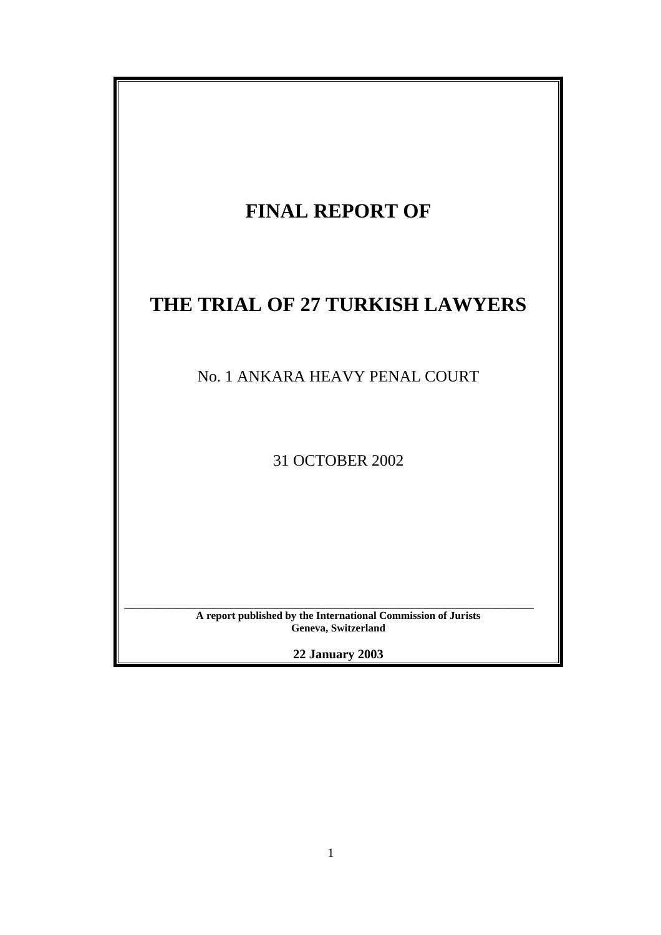| <b>FINAL REPORT OF</b>                                                               |
|--------------------------------------------------------------------------------------|
| THE TRIAL OF 27 TURKISH LAWYERS                                                      |
| No. 1 ANKARA HEAVY PENAL COURT                                                       |
| 31 OCTOBER 2002                                                                      |
|                                                                                      |
| A report published by the International Commission of Jurists<br>Geneva, Switzerland |
| <b>22 January 2003</b>                                                               |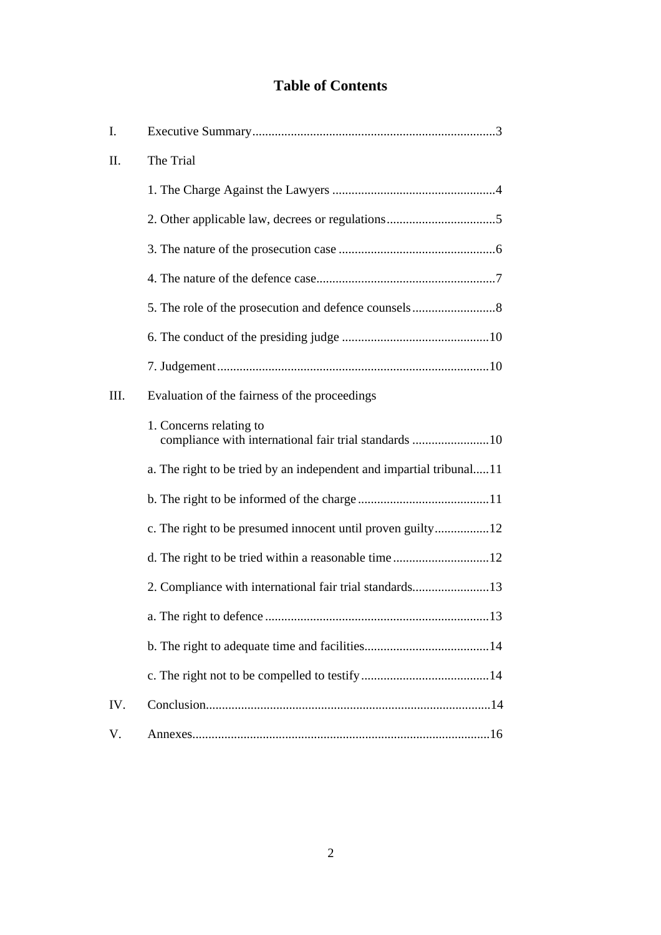# **Table of Contents**

| Ι.   |                                                                                  |  |
|------|----------------------------------------------------------------------------------|--|
| Π.   | The Trial                                                                        |  |
|      |                                                                                  |  |
|      |                                                                                  |  |
|      |                                                                                  |  |
|      |                                                                                  |  |
|      |                                                                                  |  |
|      |                                                                                  |  |
|      |                                                                                  |  |
| III. | Evaluation of the fairness of the proceedings                                    |  |
|      | 1. Concerns relating to<br>compliance with international fair trial standards 10 |  |
|      | a. The right to be tried by an independent and impartial tribunal11              |  |
|      |                                                                                  |  |
|      | c. The right to be presumed innocent until proven guilty12                       |  |
|      | d. The right to be tried within a reasonable time12                              |  |
|      | 2. Compliance with international fair trial standards13                          |  |
|      |                                                                                  |  |
|      |                                                                                  |  |
|      |                                                                                  |  |
| IV.  |                                                                                  |  |
| V.   |                                                                                  |  |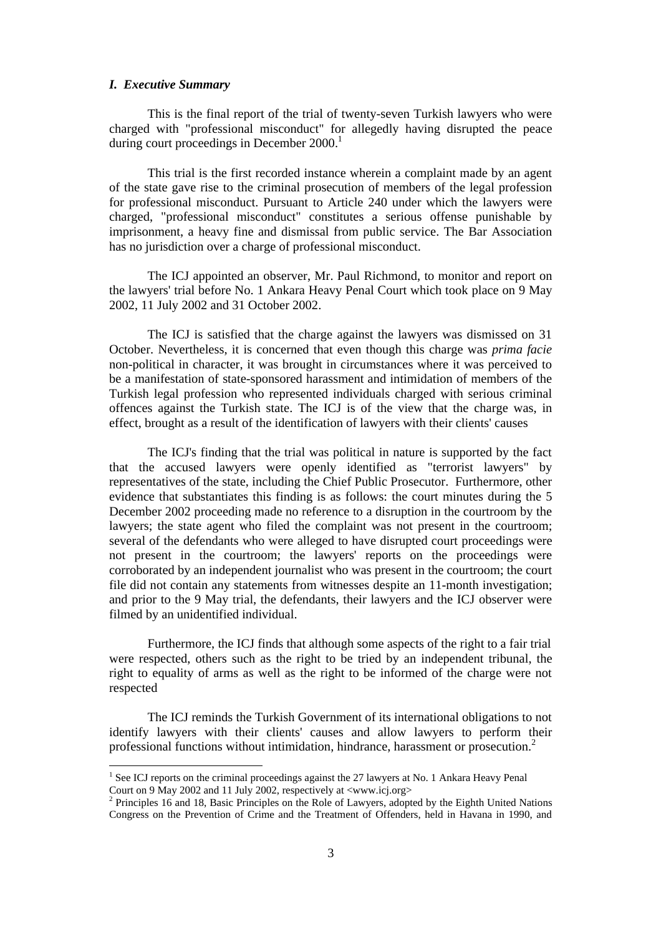#### *I. Executive Summary*

l

This is the final report of the trial of twenty-seven Turkish lawyers who were charged with "professional misconduct" for allegedly having disrupted the peace during court proceedings in December  $2000$ <sup>1</sup>

This trial is the first recorded instance wherein a complaint made by an agent of the state gave rise to the criminal prosecution of members of the legal profession for professional misconduct. Pursuant to Article 240 under which the lawyers were charged, "professional misconduct" constitutes a serious offense punishable by imprisonment, a heavy fine and dismissal from public service. The Bar Association has no jurisdiction over a charge of professional misconduct.

The ICJ appointed an observer, Mr. Paul Richmond, to monitor and report on the lawyers' trial before No. 1 Ankara Heavy Penal Court which took place on 9 May 2002, 11 July 2002 and 31 October 2002.

The ICJ is satisfied that the charge against the lawyers was dismissed on 31 October. Nevertheless, it is concerned that even though this charge was *prima facie* non-political in character, it was brought in circumstances where it was perceived to be a manifestation of state-sponsored harassment and intimidation of members of the Turkish legal profession who represented individuals charged with serious criminal offences against the Turkish state. The ICJ is of the view that the charge was, in effect, brought as a result of the identification of lawyers with their clients' causes

The ICJ's finding that the trial was political in nature is supported by the fact that the accused lawyers were openly identified as "terrorist lawyers" by representatives of the state, including the Chief Public Prosecutor. Furthermore, other evidence that substantiates this finding is as follows: the court minutes during the 5 December 2002 proceeding made no reference to a disruption in the courtroom by the lawyers; the state agent who filed the complaint was not present in the courtroom; several of the defendants who were alleged to have disrupted court proceedings were not present in the courtroom; the lawyers' reports on the proceedings were corroborated by an independent journalist who was present in the courtroom; the court file did not contain any statements from witnesses despite an 11-month investigation; and prior to the 9 May trial, the defendants, their lawyers and the ICJ observer were filmed by an unidentified individual.

Furthermore, the ICJ finds that although some aspects of the right to a fair trial were respected, others such as the right to be tried by an independent tribunal, the right to equality of arms as well as the right to be informed of the charge were not respected

The ICJ reminds the Turkish Government of its international obligations to not identify lawyers with their clients' causes and allow lawyers to perform their professional functions without intimidation, hindrance, harassment or prosecution.<sup>2</sup>

<sup>&</sup>lt;sup>1</sup> See ICJ reports on the criminal proceedings against the 27 lawyers at No. 1 Ankara Heavy Penal Court on 9 May 2002 and 11 July 2002, respectively at  $\langle$ www.icj.org $>$ 

<sup>&</sup>lt;sup>2</sup> Principles 16 and 18, Basic Principles on the Role of Lawyers, adopted by the Eighth United Nations Congress on the Prevention of Crime and the Treatment of Offenders, held in Havana in 1990, and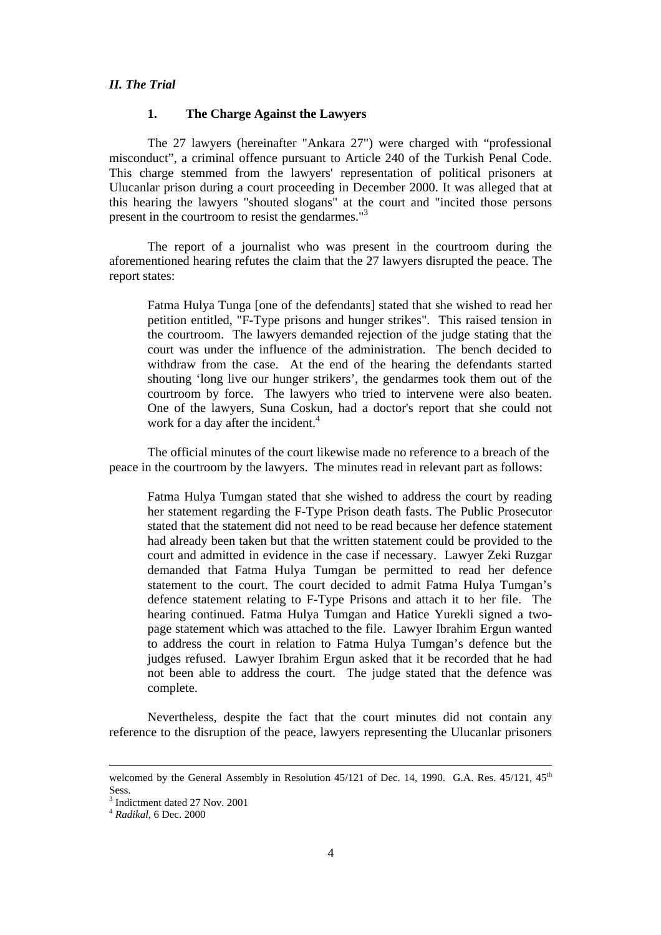#### *II. The Trial*

#### **1. The Charge Against the Lawyers**

The 27 lawyers (hereinafter "Ankara 27") were charged with "professional misconduct", a criminal offence pursuant to Article 240 of the Turkish Penal Code. This charge stemmed from the lawyers' representation of political prisoners at Ulucanlar prison during a court proceeding in December 2000. It was alleged that at this hearing the lawyers "shouted slogans" at the court and "incited those persons present in the courtroom to resist the gendarmes."<sup>3</sup>

The report of a journalist who was present in the courtroom during the aforementioned hearing refutes the claim that the 27 lawyers disrupted the peace. The report states:

Fatma Hulya Tunga [one of the defendants] stated that she wished to read her petition entitled, "F-Type prisons and hunger strikes". This raised tension in the courtroom. The lawyers demanded rejection of the judge stating that the court was under the influence of the administration. The bench decided to withdraw from the case. At the end of the hearing the defendants started shouting 'long live our hunger strikers', the gendarmes took them out of the courtroom by force. The lawyers who tried to intervene were also beaten. One of the lawyers, Suna Coskun, had a doctor's report that she could not work for a day after the incident.<sup>4</sup>

The official minutes of the court likewise made no reference to a breach of the peace in the courtroom by the lawyers. The minutes read in relevant part as follows:

Fatma Hulya Tumgan stated that she wished to address the court by reading her statement regarding the F-Type Prison death fasts. The Public Prosecutor stated that the statement did not need to be read because her defence statement had already been taken but that the written statement could be provided to the court and admitted in evidence in the case if necessary. Lawyer Zeki Ruzgar demanded that Fatma Hulya Tumgan be permitted to read her defence statement to the court. The court decided to admit Fatma Hulya Tumgan's defence statement relating to F-Type Prisons and attach it to her file. The hearing continued. Fatma Hulya Tumgan and Hatice Yurekli signed a twopage statement which was attached to the file. Lawyer Ibrahim Ergun wanted to address the court in relation to Fatma Hulya Tumgan's defence but the judges refused. Lawyer Ibrahim Ergun asked that it be recorded that he had not been able to address the court. The judge stated that the defence was complete.

Nevertheless, despite the fact that the court minutes did not contain any reference to the disruption of the peace, lawyers representing the Ulucanlar prisoners

l

welcomed by the General Assembly in Resolution  $45/121$  of Dec. 14, 1990. G.A. Res.  $45/121$ ,  $45<sup>th</sup>$ Sess.

<sup>3</sup> Indictment dated 27 Nov. 2001

<sup>4</sup> *Radikal*, 6 Dec. 2000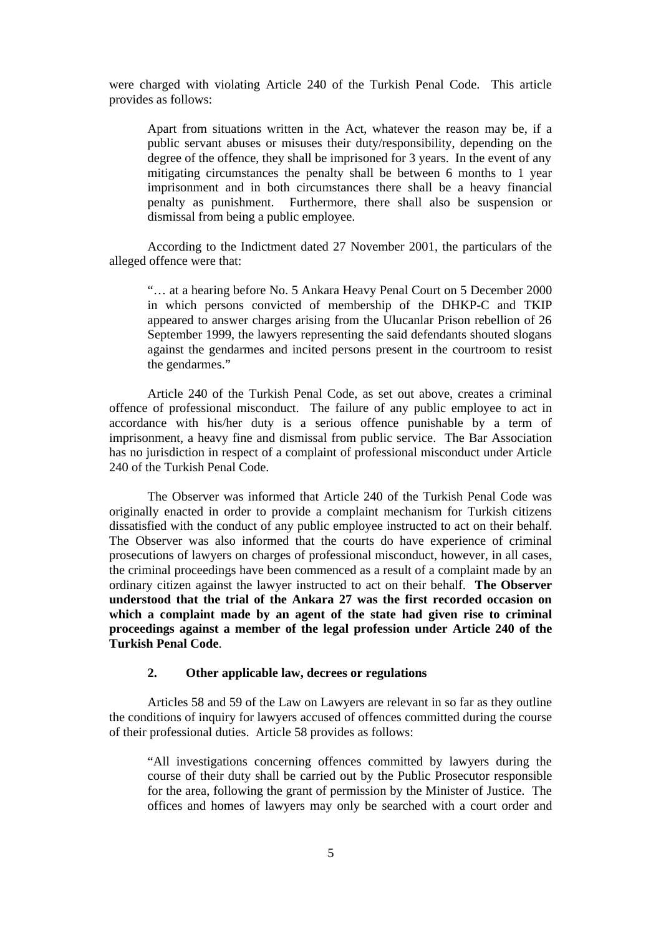were charged with violating Article 240 of the Turkish Penal Code. This article provides as follows:

Apart from situations written in the Act, whatever the reason may be, if a public servant abuses or misuses their duty/responsibility, depending on the degree of the offence, they shall be imprisoned for 3 years. In the event of any mitigating circumstances the penalty shall be between 6 months to 1 year imprisonment and in both circumstances there shall be a heavy financial penalty as punishment. Furthermore, there shall also be suspension or dismissal from being a public employee.

According to the Indictment dated 27 November 2001, the particulars of the alleged offence were that:

"… at a hearing before No. 5 Ankara Heavy Penal Court on 5 December 2000 in which persons convicted of membership of the DHKP-C and TKIP appeared to answer charges arising from the Ulucanlar Prison rebellion of 26 September 1999, the lawyers representing the said defendants shouted slogans against the gendarmes and incited persons present in the courtroom to resist the gendarmes."

Article 240 of the Turkish Penal Code, as set out above, creates a criminal offence of professional misconduct. The failure of any public employee to act in accordance with his/her duty is a serious offence punishable by a term of imprisonment, a heavy fine and dismissal from public service. The Bar Association has no jurisdiction in respect of a complaint of professional misconduct under Article 240 of the Turkish Penal Code.

The Observer was informed that Article 240 of the Turkish Penal Code was originally enacted in order to provide a complaint mechanism for Turkish citizens dissatisfied with the conduct of any public employee instructed to act on their behalf. The Observer was also informed that the courts do have experience of criminal prosecutions of lawyers on charges of professional misconduct, however, in all cases, the criminal proceedings have been commenced as a result of a complaint made by an ordinary citizen against the lawyer instructed to act on their behalf. **The Observer understood that the trial of the Ankara 27 was the first recorded occasion on which a complaint made by an agent of the state had given rise to criminal proceedings against a member of the legal profession under Article 240 of the Turkish Penal Code**.

## **2. Other applicable law, decrees or regulations**

Articles 58 and 59 of the Law on Lawyers are relevant in so far as they outline the conditions of inquiry for lawyers accused of offences committed during the course of their professional duties. Article 58 provides as follows:

"All investigations concerning offences committed by lawyers during the course of their duty shall be carried out by the Public Prosecutor responsible for the area, following the grant of permission by the Minister of Justice. The offices and homes of lawyers may only be searched with a court order and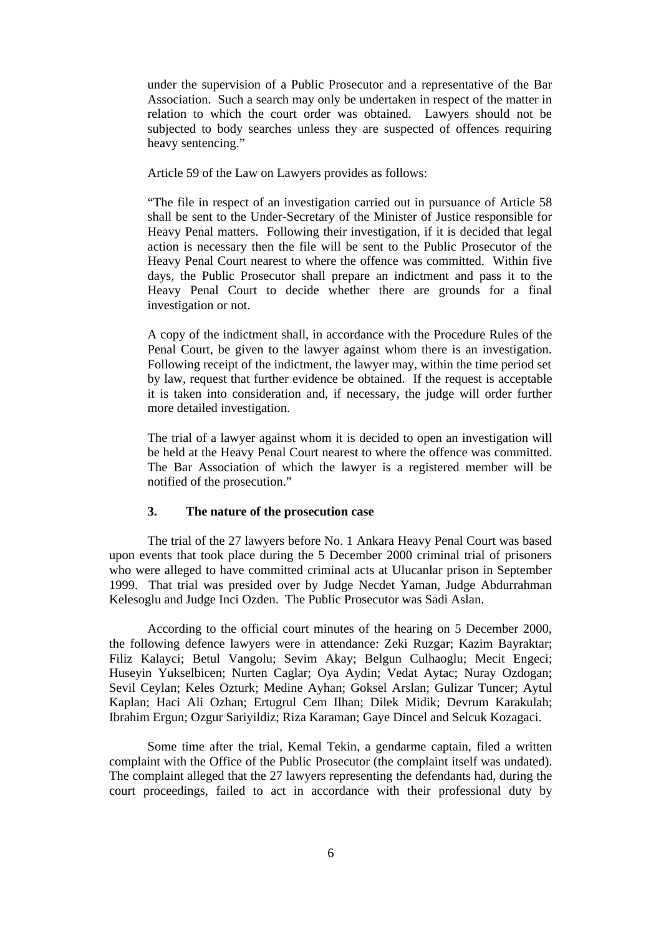under the supervision of a Public Prosecutor and a representative of the Bar Association. Such a search may only be undertaken in respect of the matter in relation to which the court order was obtained. Lawyers should not be subjected to body searches unless they are suspected of offences requiring heavy sentencing."

Article 59 of the Law on Lawyers provides as follows:

"The file in respect of an investigation carried out in pursuance of Article 58 shall be sent to the Under-Secretary of the Minister of Justice responsible for Heavy Penal matters. Following their investigation, if it is decided that legal action is necessary then the file will be sent to the Public Prosecutor of the Heavy Penal Court nearest to where the offence was committed. Within five days, the Public Prosecutor shall prepare an indictment and pass it to the Heavy Penal Court to decide whether there are grounds for a final investigation or not.

A copy of the indictment shall, in accordance with the Procedure Rules of the Penal Court, be given to the lawyer against whom there is an investigation. Following receipt of the indictment, the lawyer may, within the time period set by law, request that further evidence be obtained. If the request is acceptable it is taken into consideration and, if necessary, the judge will order further more detailed investigation.

The trial of a lawyer against whom it is decided to open an investigation will be held at the Heavy Penal Court nearest to where the offence was committed. The Bar Association of which the lawyer is a registered member will be notified of the prosecution."

## **3. The nature of the prosecution case**

The trial of the 27 lawyers before No. 1 Ankara Heavy Penal Court was based upon events that took place during the 5 December 2000 criminal trial of prisoners who were alleged to have committed criminal acts at Ulucanlar prison in September 1999. That trial was presided over by Judge Necdet Yaman, Judge Abdurrahman Kelesoglu and Judge Inci Ozden. The Public Prosecutor was Sadi Aslan.

According to the official court minutes of the hearing on 5 December 2000, the following defence lawyers were in attendance: Zeki Ruzgar; Kazim Bayraktar; Filiz Kalayci; Betul Vangolu; Sevim Akay; Belgun Culhaoglu; Mecit Engeci; Huseyin Yukselbicen; Nurten Caglar; Oya Aydin; Vedat Aytac; Nuray Ozdogan; Sevil Ceylan; Keles Ozturk; Medine Ayhan; Goksel Arslan; Gulizar Tuncer; Aytul Kaplan; Haci Ali Ozhan; Ertugrul Cem Ilhan; Dilek Midik; Devrum Karakulah; Ibrahim Ergun; Ozgur Sariyildiz; Riza Karaman; Gaye Dincel and Selcuk Kozagaci.

Some time after the trial, Kemal Tekin, a gendarme captain, filed a written complaint with the Office of the Public Prosecutor (the complaint itself was undated). The complaint alleged that the 27 lawyers representing the defendants had, during the court proceedings, failed to act in accordance with their professional duty by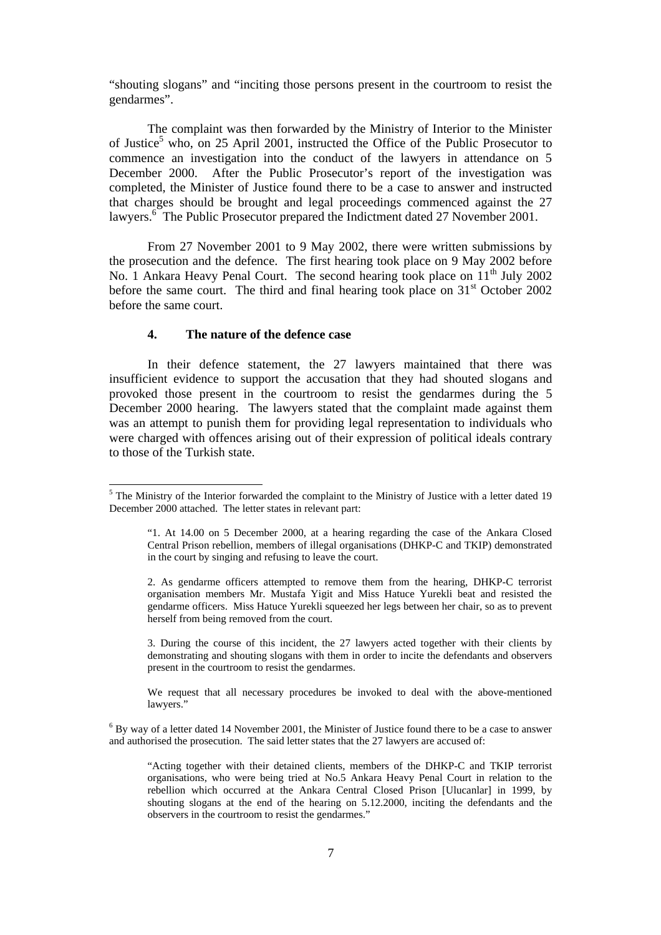"shouting slogans" and "inciting those persons present in the courtroom to resist the gendarmes".

The complaint was then forwarded by the Ministry of Interior to the Minister of Justice<sup>5</sup> who, on 25 April 2001, instructed the Office of the Public Prosecutor to commence an investigation into the conduct of the lawyers in attendance on 5 December 2000. After the Public Prosecutor's report of the investigation was completed, the Minister of Justice found there to be a case to answer and instructed that charges should be brought and legal proceedings commenced against the 27 lawyers.<sup>6</sup> The Public Prosecutor prepared the Indictment dated 27 November 2001.

From 27 November 2001 to 9 May 2002, there were written submissions by the prosecution and the defence. The first hearing took place on 9 May 2002 before No. 1 Ankara Heavy Penal Court. The second hearing took place on  $11<sup>th</sup>$  July 2002 before the same court. The third and final hearing took place on  $31<sup>st</sup>$  October 2002 before the same court.

#### **4. The nature of the defence case**

In their defence statement, the 27 lawyers maintained that there was insufficient evidence to support the accusation that they had shouted slogans and provoked those present in the courtroom to resist the gendarmes during the 5 December 2000 hearing. The lawyers stated that the complaint made against them was an attempt to punish them for providing legal representation to individuals who were charged with offences arising out of their expression of political ideals contrary to those of the Turkish state.

3. During the course of this incident, the 27 lawyers acted together with their clients by demonstrating and shouting slogans with them in order to incite the defendants and observers present in the courtroom to resist the gendarmes.

We request that all necessary procedures be invoked to deal with the above-mentioned lawyers."

 $6$  By way of a letter dated 14 November 2001, the Minister of Justice found there to be a case to answer and authorised the prosecution. The said letter states that the 27 lawyers are accused of:

 $<sup>5</sup>$  The Ministry of the Interior forwarded the complaint to the Ministry of Justice with a letter dated 19</sup> December 2000 attached. The letter states in relevant part:

<sup>&</sup>quot;1. At 14.00 on 5 December 2000, at a hearing regarding the case of the Ankara Closed Central Prison rebellion, members of illegal organisations (DHKP-C and TKIP) demonstrated in the court by singing and refusing to leave the court.

<sup>2.</sup> As gendarme officers attempted to remove them from the hearing, DHKP-C terrorist organisation members Mr. Mustafa Yigit and Miss Hatuce Yurekli beat and resisted the gendarme officers. Miss Hatuce Yurekli squeezed her legs between her chair, so as to prevent herself from being removed from the court.

<sup>&</sup>quot;Acting together with their detained clients, members of the DHKP-C and TKIP terrorist organisations, who were being tried at No.5 Ankara Heavy Penal Court in relation to the rebellion which occurred at the Ankara Central Closed Prison [Ulucanlar] in 1999, by shouting slogans at the end of the hearing on 5.12.2000, inciting the defendants and the observers in the courtroom to resist the gendarmes."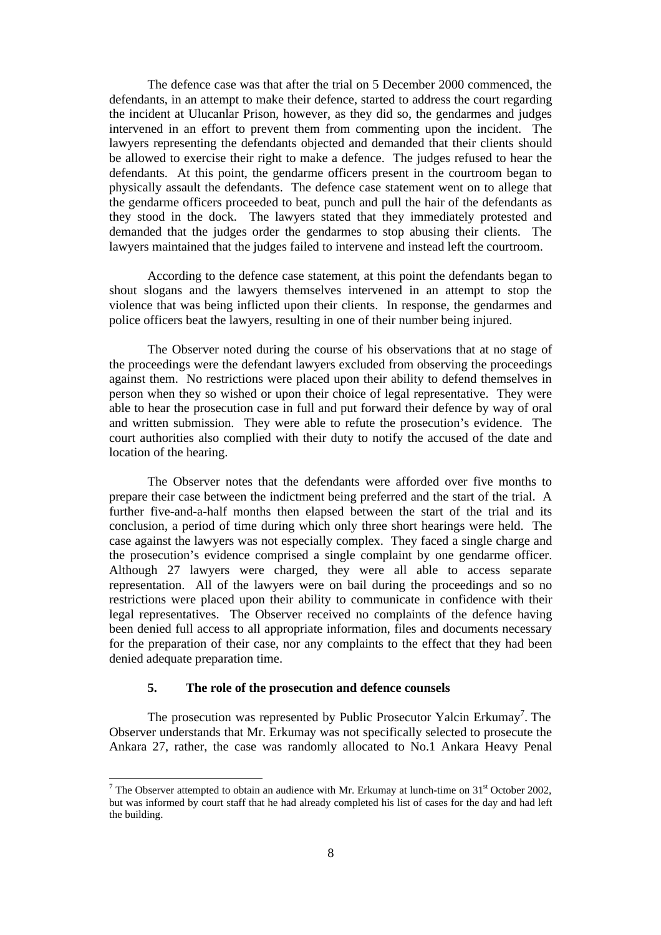The defence case was that after the trial on 5 December 2000 commenced, the defendants, in an attempt to make their defence, started to address the court regarding the incident at Ulucanlar Prison, however, as they did so, the gendarmes and judges intervened in an effort to prevent them from commenting upon the incident. The lawyers representing the defendants objected and demanded that their clients should be allowed to exercise their right to make a defence. The judges refused to hear the defendants. At this point, the gendarme officers present in the courtroom began to physically assault the defendants. The defence case statement went on to allege that the gendarme officers proceeded to beat, punch and pull the hair of the defendants as they stood in the dock. The lawyers stated that they immediately protested and demanded that the judges order the gendarmes to stop abusing their clients. The lawyers maintained that the judges failed to intervene and instead left the courtroom.

According to the defence case statement, at this point the defendants began to shout slogans and the lawyers themselves intervened in an attempt to stop the violence that was being inflicted upon their clients. In response, the gendarmes and police officers beat the lawyers, resulting in one of their number being injured.

The Observer noted during the course of his observations that at no stage of the proceedings were the defendant lawyers excluded from observing the proceedings against them. No restrictions were placed upon their ability to defend themselves in person when they so wished or upon their choice of legal representative. They were able to hear the prosecution case in full and put forward their defence by way of oral and written submission. They were able to refute the prosecution's evidence. The court authorities also complied with their duty to notify the accused of the date and location of the hearing.

The Observer notes that the defendants were afforded over five months to prepare their case between the indictment being preferred and the start of the trial. A further five-and-a-half months then elapsed between the start of the trial and its conclusion, a period of time during which only three short hearings were held. The case against the lawyers was not especially complex. They faced a single charge and the prosecution's evidence comprised a single complaint by one gendarme officer. Although 27 lawyers were charged, they were all able to access separate representation. All of the lawyers were on bail during the proceedings and so no restrictions were placed upon their ability to communicate in confidence with their legal representatives. The Observer received no complaints of the defence having been denied full access to all appropriate information, files and documents necessary for the preparation of their case, nor any complaints to the effect that they had been denied adequate preparation time.

## **5. The role of the prosecution and defence counsels**

l

The prosecution was represented by Public Prosecutor Yalcin Erkumay<sup>7</sup>. The Observer understands that Mr. Erkumay was not specifically selected to prosecute the Ankara 27, rather, the case was randomly allocated to No.1 Ankara Heavy Penal

<sup>&</sup>lt;sup>7</sup> The Observer attempted to obtain an audience with Mr. Erkumay at lunch-time on  $31<sup>st</sup>$  October 2002, but was informed by court staff that he had already completed his list of cases for the day and had left the building.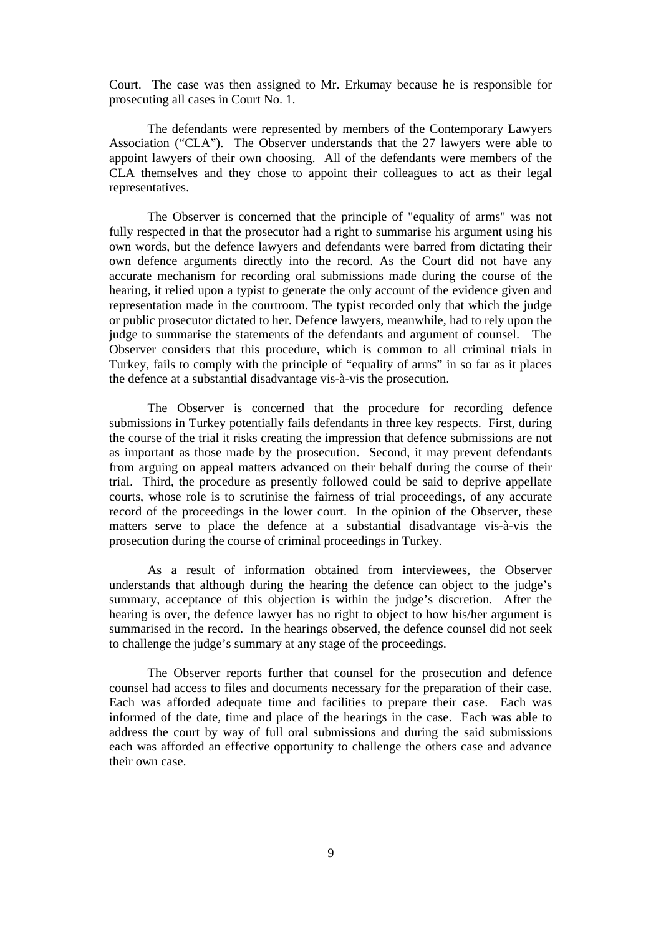Court. The case was then assigned to Mr. Erkumay because he is responsible for prosecuting all cases in Court No. 1.

The defendants were represented by members of the Contemporary Lawyers Association ("CLA"). The Observer understands that the 27 lawyers were able to appoint lawyers of their own choosing. All of the defendants were members of the CLA themselves and they chose to appoint their colleagues to act as their legal representatives.

The Observer is concerned that the principle of "equality of arms" was not fully respected in that the prosecutor had a right to summarise his argument using his own words, but the defence lawyers and defendants were barred from dictating their own defence arguments directly into the record. As the Court did not have any accurate mechanism for recording oral submissions made during the course of the hearing, it relied upon a typist to generate the only account of the evidence given and representation made in the courtroom. The typist recorded only that which the judge or public prosecutor dictated to her. Defence lawyers, meanwhile, had to rely upon the judge to summarise the statements of the defendants and argument of counsel. The Observer considers that this procedure, which is common to all criminal trials in Turkey, fails to comply with the principle of "equality of arms" in so far as it places the defence at a substantial disadvantage vis-à-vis the prosecution.

The Observer is concerned that the procedure for recording defence submissions in Turkey potentially fails defendants in three key respects. First, during the course of the trial it risks creating the impression that defence submissions are not as important as those made by the prosecution. Second, it may prevent defendants from arguing on appeal matters advanced on their behalf during the course of their trial. Third, the procedure as presently followed could be said to deprive appellate courts, whose role is to scrutinise the fairness of trial proceedings, of any accurate record of the proceedings in the lower court. In the opinion of the Observer, these matters serve to place the defence at a substantial disadvantage vis-à-vis the prosecution during the course of criminal proceedings in Turkey.

As a result of information obtained from interviewees, the Observer understands that although during the hearing the defence can object to the judge's summary, acceptance of this objection is within the judge's discretion. After the hearing is over, the defence lawyer has no right to object to how his/her argument is summarised in the record. In the hearings observed, the defence counsel did not seek to challenge the judge's summary at any stage of the proceedings.

The Observer reports further that counsel for the prosecution and defence counsel had access to files and documents necessary for the preparation of their case. Each was afforded adequate time and facilities to prepare their case. Each was informed of the date, time and place of the hearings in the case. Each was able to address the court by way of full oral submissions and during the said submissions each was afforded an effective opportunity to challenge the others case and advance their own case.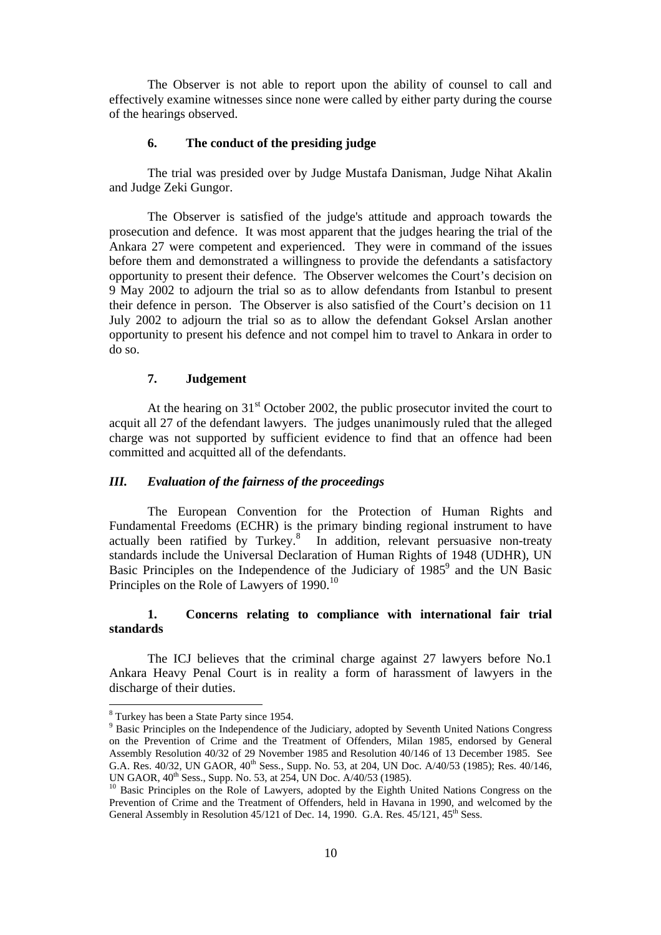The Observer is not able to report upon the ability of counsel to call and effectively examine witnesses since none were called by either party during the course of the hearings observed.

## **6. The conduct of the presiding judge**

The trial was presided over by Judge Mustafa Danisman, Judge Nihat Akalin and Judge Zeki Gungor.

The Observer is satisfied of the judge's attitude and approach towards the prosecution and defence. It was most apparent that the judges hearing the trial of the Ankara 27 were competent and experienced. They were in command of the issues before them and demonstrated a willingness to provide the defendants a satisfactory opportunity to present their defence. The Observer welcomes the Court's decision on 9 May 2002 to adjourn the trial so as to allow defendants from Istanbul to present their defence in person. The Observer is also satisfied of the Court's decision on 11 July 2002 to adjourn the trial so as to allow the defendant Goksel Arslan another opportunity to present his defence and not compel him to travel to Ankara in order to do so.

# **7. Judgement**

At the hearing on  $31<sup>st</sup>$  October 2002, the public prosecutor invited the court to acquit all 27 of the defendant lawyers. The judges unanimously ruled that the alleged charge was not supported by sufficient evidence to find that an offence had been committed and acquitted all of the defendants.

# *III. Evaluation of the fairness of the proceedings*

The European Convention for the Protection of Human Rights and Fundamental Freedoms (ECHR) is the primary binding regional instrument to have actually been ratified by Turkey. $8\quad$  In addition, relevant persuasive non-treaty standards include the Universal Declaration of Human Rights of 1948 (UDHR), UN Basic Principles on the Independence of the Judiciary of  $1985^9$  and the UN Basic Principles on the Role of Lawyers of 1990.<sup>10</sup>

# **1. Concerns relating to compliance with international fair trial standards**

The ICJ believes that the criminal charge against 27 lawyers before No.1 Ankara Heavy Penal Court is in reality a form of harassment of lawyers in the discharge of their duties.

<sup>&</sup>lt;sup>8</sup> Turkey has been a State Party since 1954.

<sup>&</sup>lt;sup>9</sup> Basic Principles on the Independence of the Judiciary, adopted by Seventh United Nations Congress on the Prevention of Crime and the Treatment of Offenders, Milan 1985, endorsed by General Assembly Resolution 40/32 of 29 November 1985 and Resolution 40/146 of 13 December 1985. See G.A. Res. 40/32, UN GAOR, 40<sup>th</sup> Sess., Supp. No. 53, at 204, UN Doc. A/40/53 (1985); Res. 40/146, UN GAOR, 40<sup>th</sup> Sess., Supp. No. 53, at 254, UN Doc. A/40/53 (1985).

<sup>&</sup>lt;sup>10</sup> Basic Principles on the Role of Lawyers, adopted by the Eighth United Nations Congress on the Prevention of Crime and the Treatment of Offenders, held in Havana in 1990, and welcomed by the General Assembly in Resolution  $45/121$  of Dec. 14, 1990. G.A. Res.  $45/121$ ,  $45<sup>th</sup>$  Sess.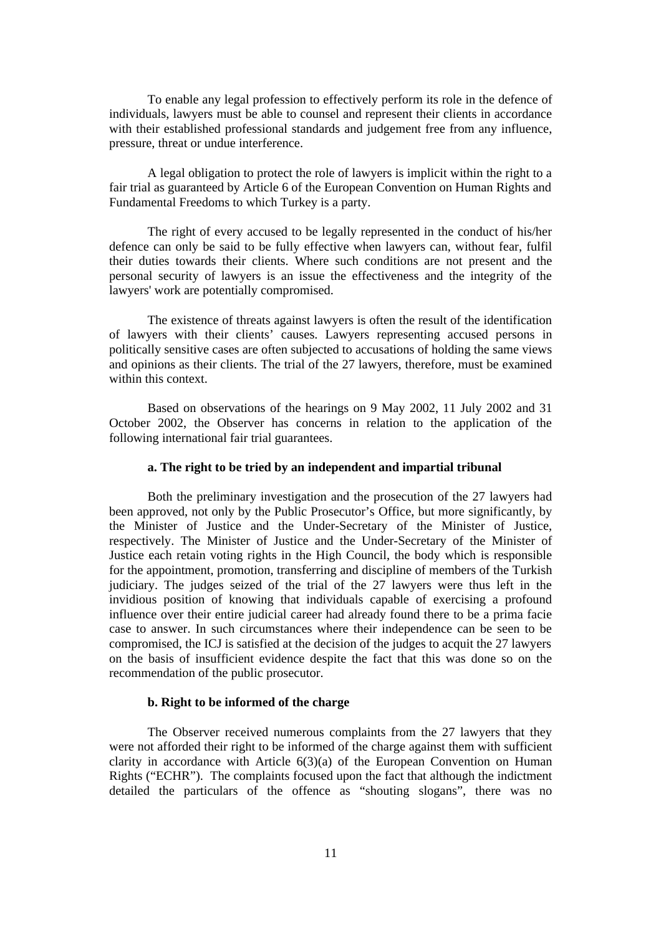To enable any legal profession to effectively perform its role in the defence of individuals, lawyers must be able to counsel and represent their clients in accordance with their established professional standards and judgement free from any influence, pressure, threat or undue interference.

A legal obligation to protect the role of lawyers is implicit within the right to a fair trial as guaranteed by Article 6 of the European Convention on Human Rights and Fundamental Freedoms to which Turkey is a party.

The right of every accused to be legally represented in the conduct of his/her defence can only be said to be fully effective when lawyers can, without fear, fulfil their duties towards their clients. Where such conditions are not present and the personal security of lawyers is an issue the effectiveness and the integrity of the lawyers' work are potentially compromised.

The existence of threats against lawyers is often the result of the identification of lawyers with their clients' causes. Lawyers representing accused persons in politically sensitive cases are often subjected to accusations of holding the same views and opinions as their clients. The trial of the 27 lawyers, therefore, must be examined within this context.

Based on observations of the hearings on 9 May 2002, 11 July 2002 and 31 October 2002, the Observer has concerns in relation to the application of the following international fair trial guarantees.

## **a. The right to be tried by an independent and impartial tribunal**

Both the preliminary investigation and the prosecution of the 27 lawyers had been approved, not only by the Public Prosecutor's Office, but more significantly, by the Minister of Justice and the Under-Secretary of the Minister of Justice, respectively. The Minister of Justice and the Under-Secretary of the Minister of Justice each retain voting rights in the High Council, the body which is responsible for the appointment, promotion, transferring and discipline of members of the Turkish judiciary. The judges seized of the trial of the 27 lawyers were thus left in the invidious position of knowing that individuals capable of exercising a profound influence over their entire judicial career had already found there to be a prima facie case to answer. In such circumstances where their independence can be seen to be compromised, the ICJ is satisfied at the decision of the judges to acquit the 27 lawyers on the basis of insufficient evidence despite the fact that this was done so on the recommendation of the public prosecutor.

# **b. Right to be informed of the charge**

The Observer received numerous complaints from the 27 lawyers that they were not afforded their right to be informed of the charge against them with sufficient clarity in accordance with Article  $6(3)(a)$  of the European Convention on Human Rights ("ECHR"). The complaints focused upon the fact that although the indictment detailed the particulars of the offence as "shouting slogans", there was no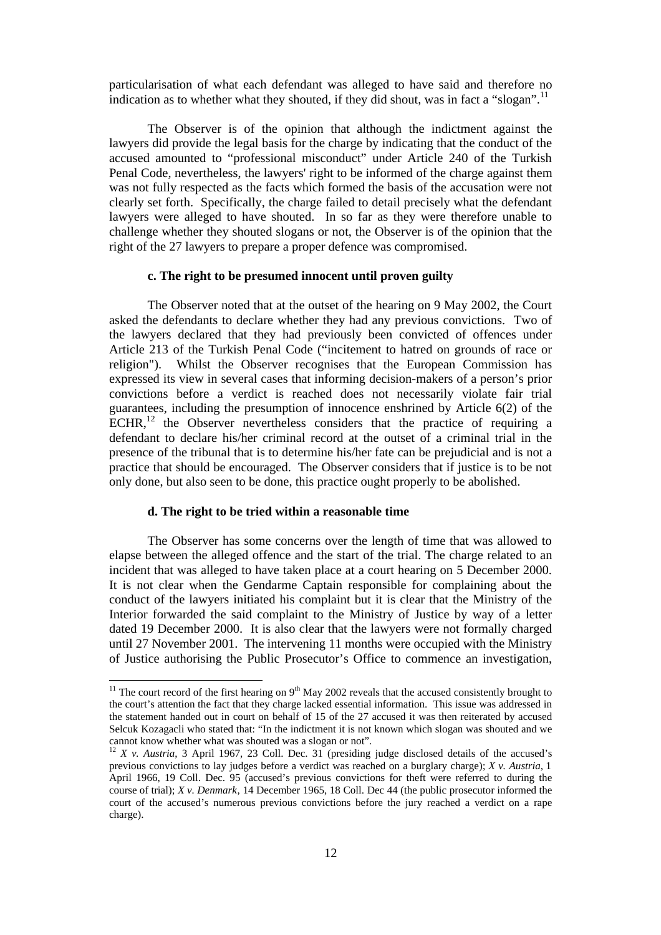particularisation of what each defendant was alleged to have said and therefore no indication as to whether what they shouted, if they did shout, was in fact a "slogan".<sup>11</sup>

The Observer is of the opinion that although the indictment against the lawyers did provide the legal basis for the charge by indicating that the conduct of the accused amounted to "professional misconduct" under Article 240 of the Turkish Penal Code, nevertheless, the lawyers' right to be informed of the charge against them was not fully respected as the facts which formed the basis of the accusation were not clearly set forth. Specifically, the charge failed to detail precisely what the defendant lawyers were alleged to have shouted. In so far as they were therefore unable to challenge whether they shouted slogans or not, the Observer is of the opinion that the right of the 27 lawyers to prepare a proper defence was compromised.

## **c. The right to be presumed innocent until proven guilty**

The Observer noted that at the outset of the hearing on 9 May 2002, the Court asked the defendants to declare whether they had any previous convictions. Two of the lawyers declared that they had previously been convicted of offences under Article 213 of the Turkish Penal Code ("incitement to hatred on grounds of race or religion"). Whilst the Observer recognises that the European Commission has expressed its view in several cases that informing decision-makers of a person's prior convictions before a verdict is reached does not necessarily violate fair trial guarantees, including the presumption of innocence enshrined by Article 6(2) of the  $ECHR$ ,<sup>12</sup> the Observer nevertheless considers that the practice of requiring a defendant to declare his/her criminal record at the outset of a criminal trial in the presence of the tribunal that is to determine his/her fate can be prejudicial and is not a practice that should be encouraged. The Observer considers that if justice is to be not only done, but also seen to be done, this practice ought properly to be abolished.

#### **d. The right to be tried within a reasonable time**

l

The Observer has some concerns over the length of time that was allowed to elapse between the alleged offence and the start of the trial. The charge related to an incident that was alleged to have taken place at a court hearing on 5 December 2000. It is not clear when the Gendarme Captain responsible for complaining about the conduct of the lawyers initiated his complaint but it is clear that the Ministry of the Interior forwarded the said complaint to the Ministry of Justice by way of a letter dated 19 December 2000. It is also clear that the lawyers were not formally charged until 27 November 2001. The intervening 11 months were occupied with the Ministry of Justice authorising the Public Prosecutor's Office to commence an investigation,

<sup>&</sup>lt;sup>11</sup> The court record of the first hearing on  $9<sup>th</sup>$  May 2002 reveals that the accused consistently brought to the court's attention the fact that they charge lacked essential information. This issue was addressed in the statement handed out in court on behalf of 15 of the 27 accused it was then reiterated by accused Selcuk Kozagacli who stated that: "In the indictment it is not known which slogan was shouted and we cannot know whether what was shouted was a slogan or not".

<sup>12</sup> *X v. Austria*, 3 April 1967, 23 Coll. Dec. 31 (presiding judge disclosed details of the accused's previous convictions to lay judges before a verdict was reached on a burglary charge); *X v. Austria*, 1 April 1966, 19 Coll. Dec. 95 (accused's previous convictions for theft were referred to during the course of trial); *X v. Denmark*, 14 December 1965, 18 Coll. Dec 44 (the public prosecutor informed the court of the accused's numerous previous convictions before the jury reached a verdict on a rape charge).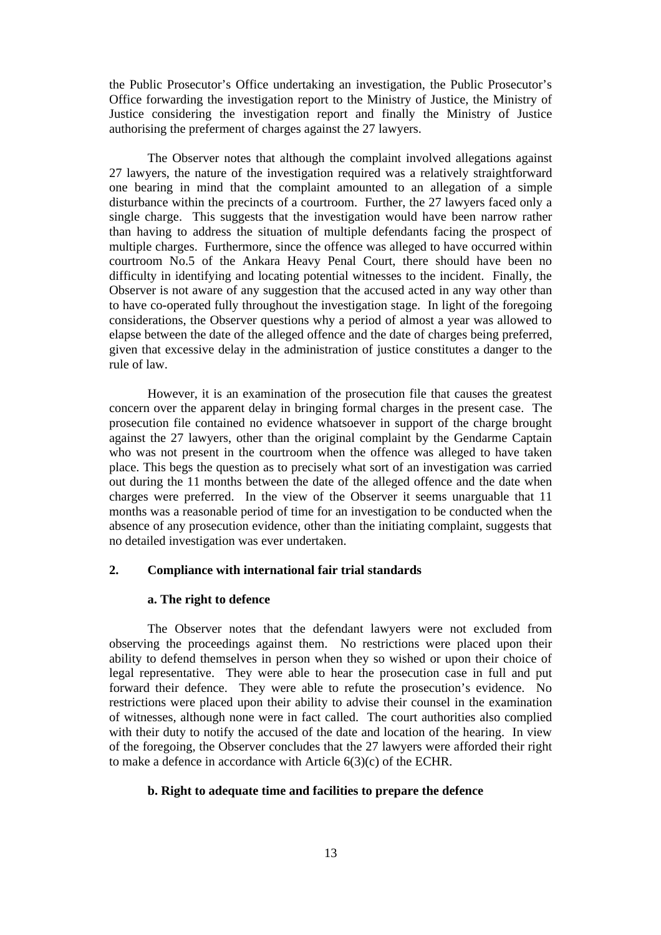the Public Prosecutor's Office undertaking an investigation, the Public Prosecutor's Office forwarding the investigation report to the Ministry of Justice, the Ministry of Justice considering the investigation report and finally the Ministry of Justice authorising the preferment of charges against the 27 lawyers.

The Observer notes that although the complaint involved allegations against 27 lawyers, the nature of the investigation required was a relatively straightforward one bearing in mind that the complaint amounted to an allegation of a simple disturbance within the precincts of a courtroom. Further, the 27 lawyers faced only a single charge. This suggests that the investigation would have been narrow rather than having to address the situation of multiple defendants facing the prospect of multiple charges. Furthermore, since the offence was alleged to have occurred within courtroom No.5 of the Ankara Heavy Penal Court, there should have been no difficulty in identifying and locating potential witnesses to the incident. Finally, the Observer is not aware of any suggestion that the accused acted in any way other than to have co-operated fully throughout the investigation stage. In light of the foregoing considerations, the Observer questions why a period of almost a year was allowed to elapse between the date of the alleged offence and the date of charges being preferred, given that excessive delay in the administration of justice constitutes a danger to the rule of law.

However, it is an examination of the prosecution file that causes the greatest concern over the apparent delay in bringing formal charges in the present case. The prosecution file contained no evidence whatsoever in support of the charge brought against the 27 lawyers, other than the original complaint by the Gendarme Captain who was not present in the courtroom when the offence was alleged to have taken place. This begs the question as to precisely what sort of an investigation was carried out during the 11 months between the date of the alleged offence and the date when charges were preferred. In the view of the Observer it seems unarguable that 11 months was a reasonable period of time for an investigation to be conducted when the absence of any prosecution evidence, other than the initiating complaint, suggests that no detailed investigation was ever undertaken.

## **2. Compliance with international fair trial standards**

#### **a. The right to defence**

The Observer notes that the defendant lawyers were not excluded from observing the proceedings against them. No restrictions were placed upon their ability to defend themselves in person when they so wished or upon their choice of legal representative. They were able to hear the prosecution case in full and put forward their defence. They were able to refute the prosecution's evidence. No restrictions were placed upon their ability to advise their counsel in the examination of witnesses, although none were in fact called. The court authorities also complied with their duty to notify the accused of the date and location of the hearing. In view of the foregoing, the Observer concludes that the 27 lawyers were afforded their right to make a defence in accordance with Article 6(3)(c) of the ECHR.

#### **b. Right to adequate time and facilities to prepare the defence**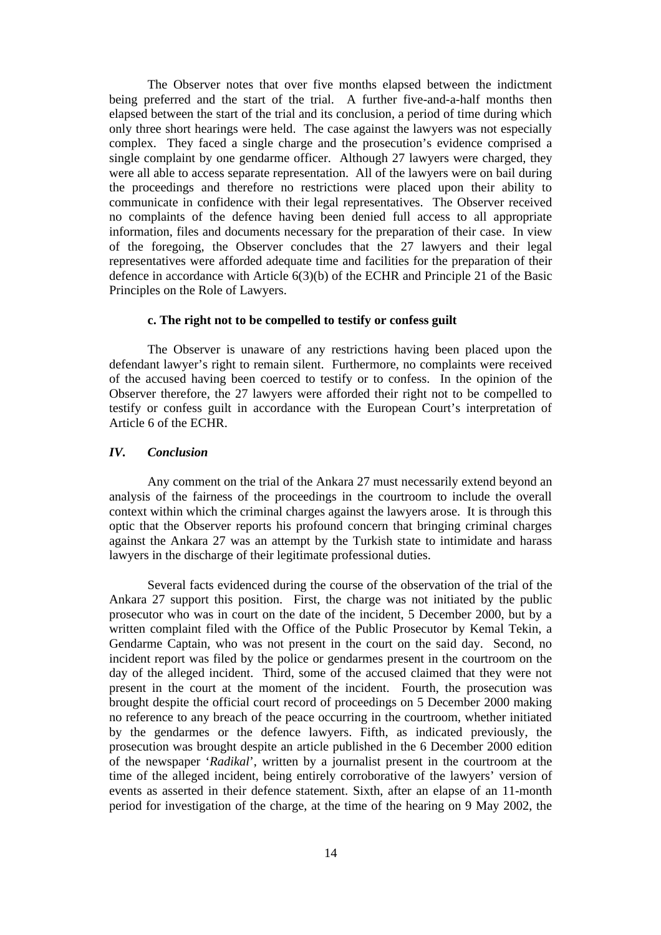The Observer notes that over five months elapsed between the indictment being preferred and the start of the trial. A further five-and-a-half months then elapsed between the start of the trial and its conclusion, a period of time during which only three short hearings were held. The case against the lawyers was not especially complex. They faced a single charge and the prosecution's evidence comprised a single complaint by one gendarme officer. Although 27 lawyers were charged, they were all able to access separate representation. All of the lawyers were on bail during the proceedings and therefore no restrictions were placed upon their ability to communicate in confidence with their legal representatives. The Observer received no complaints of the defence having been denied full access to all appropriate information, files and documents necessary for the preparation of their case. In view of the foregoing, the Observer concludes that the 27 lawyers and their legal representatives were afforded adequate time and facilities for the preparation of their defence in accordance with Article 6(3)(b) of the ECHR and Principle 21 of the Basic Principles on the Role of Lawyers.

## **c. The right not to be compelled to testify or confess guilt**

The Observer is unaware of any restrictions having been placed upon the defendant lawyer's right to remain silent. Furthermore, no complaints were received of the accused having been coerced to testify or to confess. In the opinion of the Observer therefore, the 27 lawyers were afforded their right not to be compelled to testify or confess guilt in accordance with the European Court's interpretation of Article 6 of the ECHR.

#### *IV. Conclusion*

Any comment on the trial of the Ankara 27 must necessarily extend beyond an analysis of the fairness of the proceedings in the courtroom to include the overall context within which the criminal charges against the lawyers arose. It is through this optic that the Observer reports his profound concern that bringing criminal charges against the Ankara 27 was an attempt by the Turkish state to intimidate and harass lawyers in the discharge of their legitimate professional duties.

Several facts evidenced during the course of the observation of the trial of the Ankara 27 support this position. First, the charge was not initiated by the public prosecutor who was in court on the date of the incident, 5 December 2000, but by a written complaint filed with the Office of the Public Prosecutor by Kemal Tekin, a Gendarme Captain, who was not present in the court on the said day. Second, no incident report was filed by the police or gendarmes present in the courtroom on the day of the alleged incident. Third, some of the accused claimed that they were not present in the court at the moment of the incident. Fourth, the prosecution was brought despite the official court record of proceedings on 5 December 2000 making no reference to any breach of the peace occurring in the courtroom, whether initiated by the gendarmes or the defence lawyers. Fifth, as indicated previously, the prosecution was brought despite an article published in the 6 December 2000 edition of the newspaper '*Radikal*', written by a journalist present in the courtroom at the time of the alleged incident, being entirely corroborative of the lawyers' version of events as asserted in their defence statement. Sixth, after an elapse of an 11-month period for investigation of the charge, at the time of the hearing on 9 May 2002, the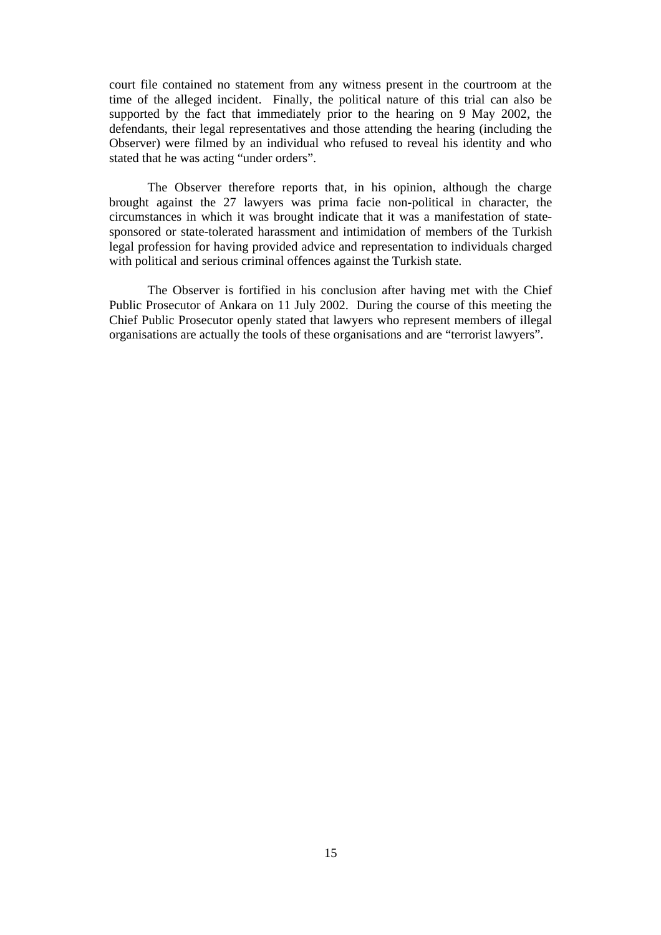court file contained no statement from any witness present in the courtroom at the time of the alleged incident. Finally, the political nature of this trial can also be supported by the fact that immediately prior to the hearing on 9 May 2002, the defendants, their legal representatives and those attending the hearing (including the Observer) were filmed by an individual who refused to reveal his identity and who stated that he was acting "under orders".

The Observer therefore reports that, in his opinion, although the charge brought against the 27 lawyers was prima facie non-political in character, the circumstances in which it was brought indicate that it was a manifestation of statesponsored or state-tolerated harassment and intimidation of members of the Turkish legal profession for having provided advice and representation to individuals charged with political and serious criminal offences against the Turkish state.

The Observer is fortified in his conclusion after having met with the Chief Public Prosecutor of Ankara on 11 July 2002. During the course of this meeting the Chief Public Prosecutor openly stated that lawyers who represent members of illegal organisations are actually the tools of these organisations and are "terrorist lawyers".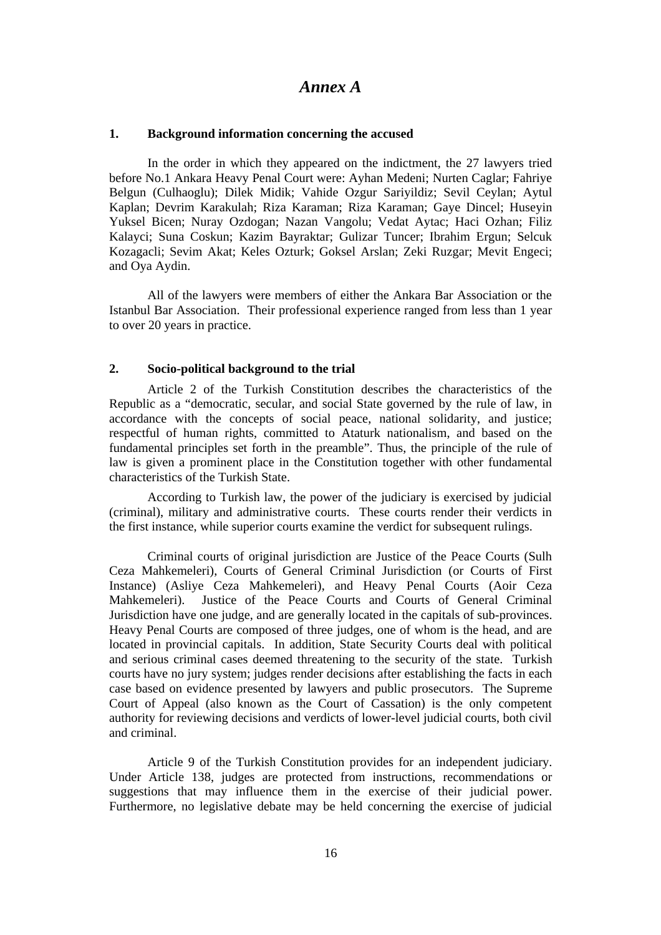# *Annex A*

## **1. Background information concerning the accused**

In the order in which they appeared on the indictment, the 27 lawyers tried before No.1 Ankara Heavy Penal Court were: Ayhan Medeni; Nurten Caglar; Fahriye Belgun (Culhaoglu); Dilek Midik; Vahide Ozgur Sariyildiz; Sevil Ceylan; Aytul Kaplan; Devrim Karakulah; Riza Karaman; Riza Karaman; Gaye Dincel; Huseyin Yuksel Bicen; Nuray Ozdogan; Nazan Vangolu; Vedat Aytac; Haci Ozhan; Filiz Kalayci; Suna Coskun; Kazim Bayraktar; Gulizar Tuncer; Ibrahim Ergun; Selcuk Kozagacli; Sevim Akat; Keles Ozturk; Goksel Arslan; Zeki Ruzgar; Mevit Engeci; and Oya Aydin.

All of the lawyers were members of either the Ankara Bar Association or the Istanbul Bar Association. Their professional experience ranged from less than 1 year to over 20 years in practice.

#### **2. Socio-political background to the trial**

Article 2 of the Turkish Constitution describes the characteristics of the Republic as a "democratic, secular, and social State governed by the rule of law, in accordance with the concepts of social peace, national solidarity, and justice; respectful of human rights, committed to Ataturk nationalism, and based on the fundamental principles set forth in the preamble". Thus, the principle of the rule of law is given a prominent place in the Constitution together with other fundamental characteristics of the Turkish State.

According to Turkish law, the power of the judiciary is exercised by judicial (criminal), military and administrative courts. These courts render their verdicts in the first instance, while superior courts examine the verdict for subsequent rulings.

Criminal courts of original jurisdiction are Justice of the Peace Courts (Sulh Ceza Mahkemeleri), Courts of General Criminal Jurisdiction (or Courts of First Instance) (Asliye Ceza Mahkemeleri), and Heavy Penal Courts (Aoir Ceza Mahkemeleri). Justice of the Peace Courts and Courts of General Criminal Jurisdiction have one judge, and are generally located in the capitals of sub-provinces. Heavy Penal Courts are composed of three judges, one of whom is the head, and are located in provincial capitals. In addition, State Security Courts deal with political and serious criminal cases deemed threatening to the security of the state. Turkish courts have no jury system; judges render decisions after establishing the facts in each case based on evidence presented by lawyers and public prosecutors. The Supreme Court of Appeal (also known as the Court of Cassation) is the only competent authority for reviewing decisions and verdicts of lower-level judicial courts, both civil and criminal.

Article 9 of the Turkish Constitution provides for an independent judiciary. Under Article 138, judges are protected from instructions, recommendations or suggestions that may influence them in the exercise of their judicial power. Furthermore, no legislative debate may be held concerning the exercise of judicial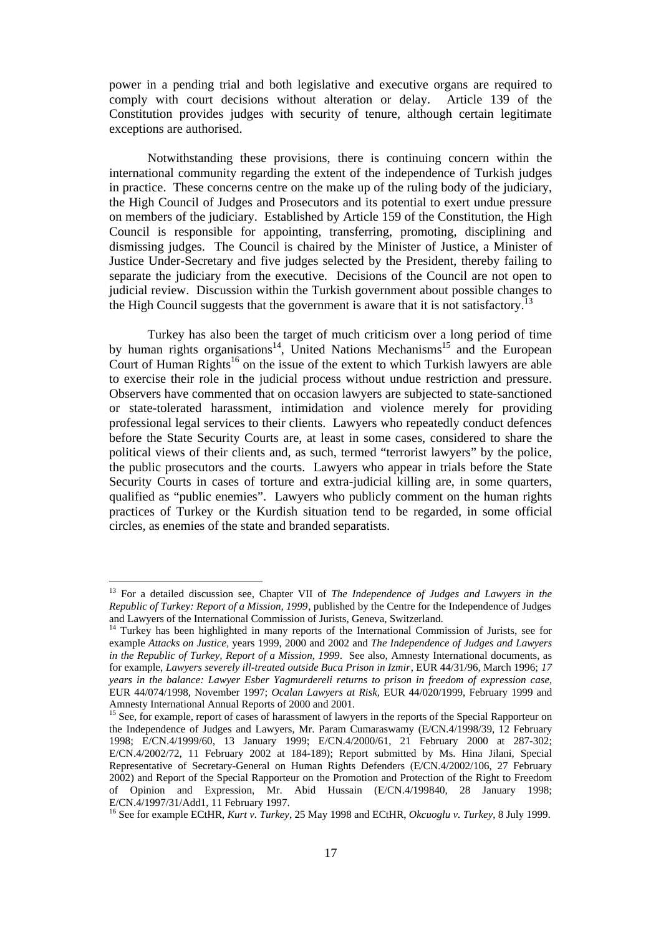power in a pending trial and both legislative and executive organs are required to comply with court decisions without alteration or delay. Article 139 of the Constitution provides judges with security of tenure, although certain legitimate exceptions are authorised.

Notwithstanding these provisions, there is continuing concern within the international community regarding the extent of the independence of Turkish judges in practice. These concerns centre on the make up of the ruling body of the judiciary, the High Council of Judges and Prosecutors and its potential to exert undue pressure on members of the judiciary. Established by Article 159 of the Constitution, the High Council is responsible for appointing, transferring, promoting, disciplining and dismissing judges. The Council is chaired by the Minister of Justice, a Minister of Justice Under-Secretary and five judges selected by the President, thereby failing to separate the judiciary from the executive. Decisions of the Council are not open to judicial review. Discussion within the Turkish government about possible changes to the High Council suggests that the government is aware that it is not satisfactory.<sup>13</sup>

Turkey has also been the target of much criticism over a long period of time by human rights organisations<sup>14</sup>, United Nations Mechanisms<sup>15</sup> and the European Court of Human Rights<sup>16</sup> on the issue of the extent to which Turkish lawyers are able to exercise their role in the judicial process without undue restriction and pressure. Observers have commented that on occasion lawyers are subjected to state-sanctioned or state-tolerated harassment, intimidation and violence merely for providing professional legal services to their clients. Lawyers who repeatedly conduct defences before the State Security Courts are, at least in some cases, considered to share the political views of their clients and, as such, termed "terrorist lawyers" by the police, the public prosecutors and the courts. Lawyers who appear in trials before the State Security Courts in cases of torture and extra-judicial killing are, in some quarters, qualified as "public enemies". Lawyers who publicly comment on the human rights practices of Turkey or the Kurdish situation tend to be regarded, in some official circles, as enemies of the state and branded separatists.

<sup>13</sup> For a detailed discussion see, Chapter VII of *The Independence of Judges and Lawyers in the Republic of Turkey: Report of a Mission, 1999*, published by the Centre for the Independence of Judges and Lawyers of the International Commission of Jurists, Geneva, Switzerland.

<sup>&</sup>lt;sup>14</sup> Turkey has been highlighted in many reports of the International Commission of Jurists, see for example *Attacks on Justice,* years 1999, 2000 and 2002 and *The Independence of Judges and Lawyers in the Republic of Turkey, Report of a Mission, 1999*. See also, Amnesty International documents, as for example, *Lawyers severely ill-treated outside Buca Prison in Izmir*, EUR 44/31/96, March 1996; *17 years in the balance: Lawyer Esber Yagmurdereli returns to prison in freedom of expression case*, EUR 44/074/1998, November 1997; *Ocalan Lawyers at Risk,* EUR 44/020/1999, February 1999 and Amnesty International Annual Reports of 2000 and 2001.

<sup>&</sup>lt;sup>15</sup> See, for example, report of cases of harassment of lawyers in the reports of the Special Rapporteur on the Independence of Judges and Lawyers, Mr. Param Cumaraswamy (E/CN.4/1998/39, 12 February 1998; E/CN.4/1999/60, 13 January 1999; E/CN.4/2000/61, 21 February 2000 at 287-302; E/CN.4/2002/72, 11 February 2002 at 184-189); Report submitted by Ms. Hina Jilani, Special Representative of Secretary-General on Human Rights Defenders (E/CN.4/2002/106, 27 February 2002) and Report of the Special Rapporteur on the Promotion and Protection of the Right to Freedom of Opinion and Expression, Mr. Abid Hussain (E/CN.4/199840, 28 January 1998; E/CN.4/1997/31/Add1, 11 February 1997.

<sup>16</sup> See for example ECtHR, *Kurt v. Turkey*, 25 May 1998 and ECtHR, *Okcuoglu v. Turkey*, 8 July 1999.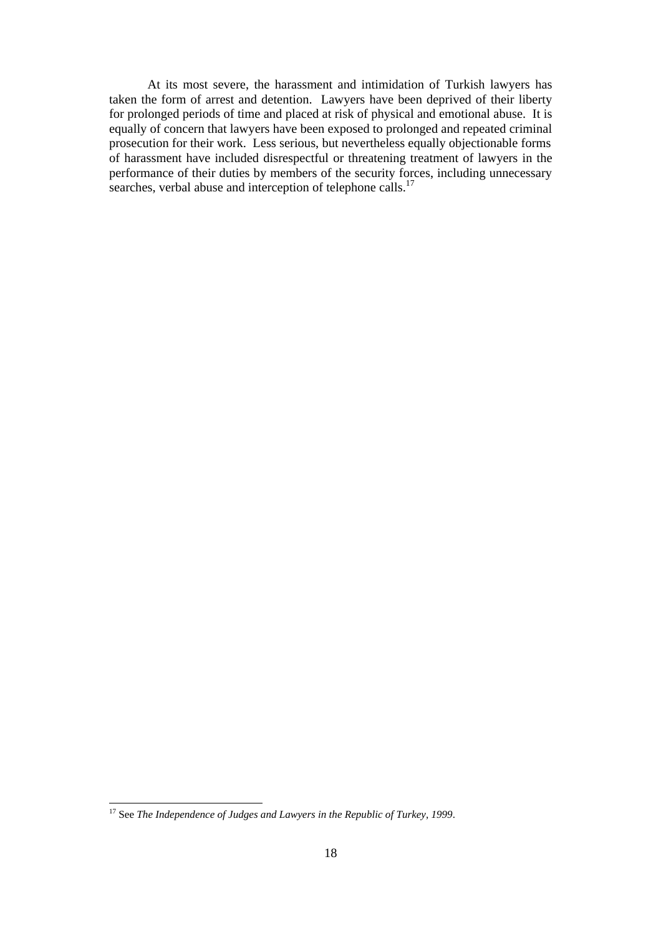At its most severe, the harassment and intimidation of Turkish lawyers has taken the form of arrest and detention. Lawyers have been deprived of their liberty for prolonged periods of time and placed at risk of physical and emotional abuse. It is equally of concern that lawyers have been exposed to prolonged and repeated criminal prosecution for their work. Less serious, but nevertheless equally objectionable forms of harassment have included disrespectful or threatening treatment of lawyers in the performance of their duties by members of the security forces, including unnecessary searches, verbal abuse and interception of telephone calls.<sup>17</sup>

<sup>17</sup> See *The Independence of Judges and Lawyers in the Republic of Turkey*, *1999*.